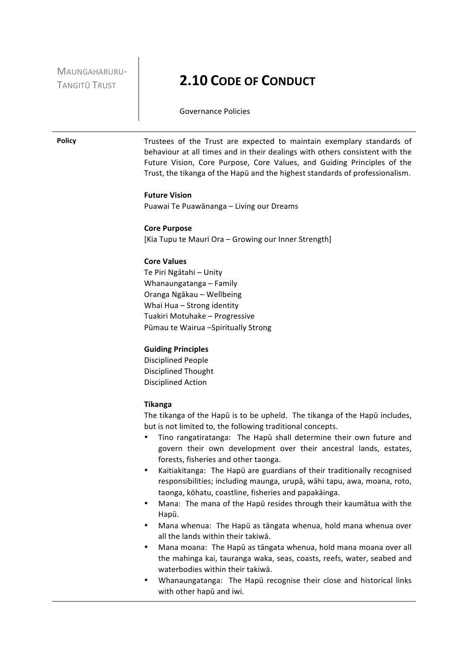MAUNGAHARURU-

# TANGITŪ TRUST **2.10 CODE OF CONDUCT**

Governance Policies

**Policy** Trustees of the Trust are expected to maintain exemplary standards of behaviour at all times and in their dealings with others consistent with the Future Vision, Core Purpose, Core Values, and Guiding Principles of the Trust, the tikanga of the Hapū and the highest standards of professionalism.

# **Future Vision**

Puawai Te Puawānanga - Living our Dreams

# **Core Purpose**

[Kia Tupu te Mauri Ora - Growing our Inner Strength]

# **Core Values**

Te Piri Ngātahi - Unity Whanaungatanga – Family Oranga Ngākau – Wellbeing Whai Hua - Strong identity Tuakiri Motuhake - Progressive Pūmau te Wairua -Spiritually Strong

# **Guiding Principles**

Disciplined People Disciplined Thought Disciplined Action

#### **Tikanga**

The tikanga of the Hapū is to be upheld. The tikanga of the Hapū includes, but is not limited to, the following traditional concepts.

- Tino rangatiratanga: The Hapū shall determine their own future and govern their own development over their ancestral lands, estates, forests, fisheries and other taonga.
- Kaitiakitanga: The Hapū are guardians of their traditionally recognised responsibilities; including maunga, urupā, wāhi tapu, awa, moana, roto, taonga, kōhatu, coastline, fisheries and papakāinga.
- Mana: The mana of the Hapū resides through their kaumātua with the Hapū.
- Mana whenua: The Hapū as tāngata whenua, hold mana whenua over all the lands within their takiwā.
- Mana moana: The Hapū as tāngata whenua, hold mana moana over all the mahinga kai, tauranga waka, seas, coasts, reefs, water, seabed and waterbodies within their takiwā.
- Whanaungatanga: The Hapū recognise their close and historical links with other hapū and iwi.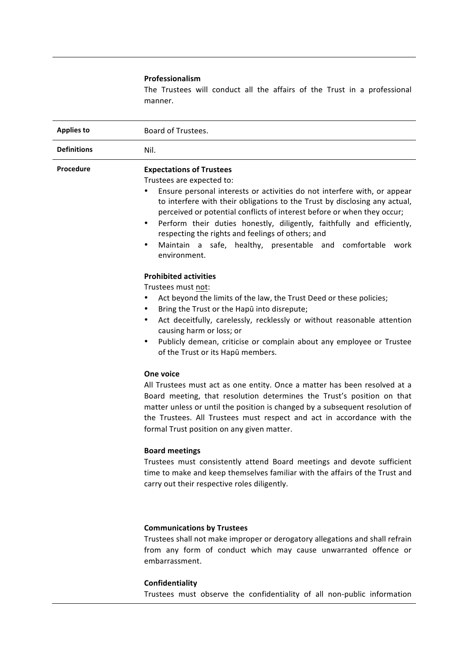# **Professionalism**

The Trustees will conduct all the affairs of the Trust in a professional manner.

| <b>Applies to</b>  | Board of Trustees.                                                                                                                                                                                                                                                                                                                                                                                                                                                                                                                          |  |
|--------------------|---------------------------------------------------------------------------------------------------------------------------------------------------------------------------------------------------------------------------------------------------------------------------------------------------------------------------------------------------------------------------------------------------------------------------------------------------------------------------------------------------------------------------------------------|--|
| <b>Definitions</b> | Nil.                                                                                                                                                                                                                                                                                                                                                                                                                                                                                                                                        |  |
| Procedure          | <b>Expectations of Trustees</b><br>Trustees are expected to:<br>Ensure personal interests or activities do not interfere with, or appear<br>to interfere with their obligations to the Trust by disclosing any actual,<br>perceived or potential conflicts of interest before or when they occur;<br>Perform their duties honestly, diligently, faithfully and efficiently,<br>$\bullet$<br>respecting the rights and feelings of others; and<br>Maintain a safe, healthy, presentable and comfortable<br>$\bullet$<br>work<br>environment. |  |
|                    | <b>Prohibited activities</b><br>Trustees must not:<br>Act beyond the limits of the law, the Trust Deed or these policies;<br>$\bullet$<br>Bring the Trust or the Hapū into disrepute;<br>$\bullet$<br>Act deceitfully, carelessly, recklessly or without reasonable attention<br>$\bullet$<br>causing harm or loss; or<br>Publicly demean, criticise or complain about any employee or Trustee<br>$\bullet$<br>of the Trust or its Hapū members.                                                                                            |  |
|                    | One voice<br>All Trustees must act as one entity. Once a matter has been resolved at a<br>Board meeting, that resolution determines the Trust's position on that<br>matter unless or until the position is changed by a subsequent resolution of<br>the Trustees. All Trustees must respect and act in accordance with the<br>formal Trust position on any given matter.<br><b>Board meetings</b>                                                                                                                                           |  |
|                    | Trustees must consistently attend Board meetings and devote sufficient<br>time to make and keep themselves familiar with the affairs of the Trust and<br>carry out their respective roles diligently.                                                                                                                                                                                                                                                                                                                                       |  |

# **Communications by Trustees**

Trustees shall not make improper or derogatory allegations and shall refrain from any form of conduct which may cause unwarranted offence or embarrassment.

# **Confidentiality**

Trustees must observe the confidentiality of all non-public information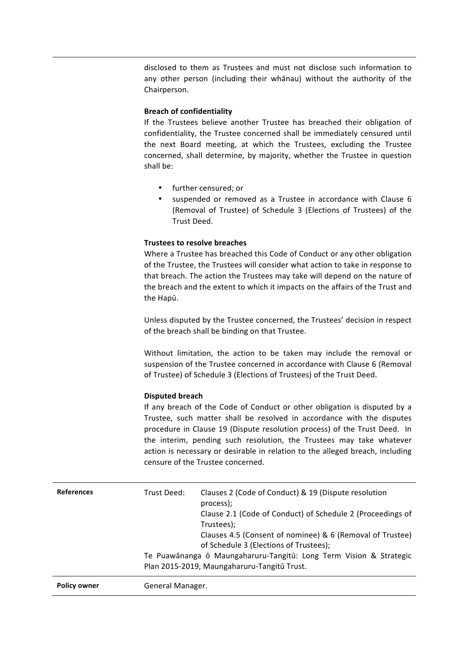disclosed to them as Trustees and must not disclose such information to any other person (including their whānau) without the authority of the Chairperson. 

# **Breach of confidentiality**

If the Trustees believe another Trustee has breached their obligation of confidentiality, the Trustee concerned shall be immediately censured until the next Board meeting, at which the Trustees, excluding the Trustee concerned, shall determine, by majority, whether the Trustee in question shall be:

- further censured; or
- suspended or removed as a Trustee in accordance with Clause 6 (Removal of Trustee) of Schedule 3 (Elections of Trustees) of the Trust Deed.

# **Trustees to resolve breaches**

Where a Trustee has breached this Code of Conduct or any other obligation of the Trustee, the Trustees will consider what action to take in response to that breach. The action the Trustees may take will depend on the nature of the breach and the extent to which it impacts on the affairs of the Trust and the Hapū.

Unless disputed by the Trustee concerned, the Trustees' decision in respect of the breach shall be binding on that Trustee.

Without limitation, the action to be taken may include the removal or suspension of the Trustee concerned in accordance with Clause 6 (Removal of Trustee) of Schedule 3 (Elections of Trustees) of the Trust Deed.

# **Disputed breach**

If any breach of the Code of Conduct or other obligation is disputed by a Trustee, such matter shall be resolved in accordance with the disputes procedure in Clause 19 (Dispute resolution process) of the Trust Deed. In the interim, pending such resolution, the Trustees may take whatever action is necessary or desirable in relation to the alleged breach, including censure of the Trustee concerned.

| <b>References</b>   | Trust Deed:      | Clauses 2 (Code of Conduct) & 19 (Dispute resolution<br>process);<br>Clause 2.1 (Code of Conduct) of Schedule 2 (Proceedings of<br>Trustees);<br>Clauses 4.5 (Consent of nominee) & 6 (Removal of Trustee)<br>of Schedule 3 (Elections of Trustees);<br>Te Puawānanga ō Maungaharuru-Tangitū: Long Term Vision & Strategic<br>Plan 2015-2019, Maungaharuru-Tangitū Trust. |
|---------------------|------------------|---------------------------------------------------------------------------------------------------------------------------------------------------------------------------------------------------------------------------------------------------------------------------------------------------------------------------------------------------------------------------|
| <b>Policy owner</b> | General Manager. |                                                                                                                                                                                                                                                                                                                                                                           |